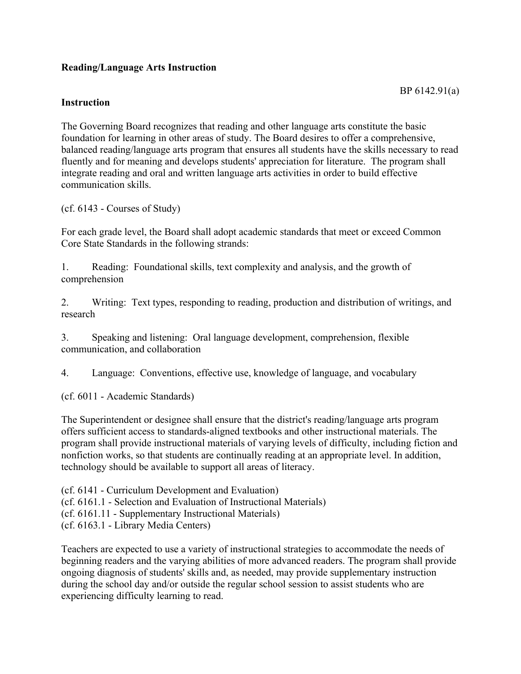## **Reading/Language Arts Instruction**

## **Instruction**

The Governing Board recognizes that reading and other language arts constitute the basic foundation for learning in other areas of study. The Board desires to offer a comprehensive, balanced reading/language arts program that ensures all students have the skills necessary to read fluently and for meaning and develops students' appreciation for literature. The program shall integrate reading and oral and written language arts activities in order to build effective communication skills.

(cf. 6143 - Courses of Study)

For each grade level, the Board shall adopt academic standards that meet or exceed Common Core State Standards in the following strands:

1. Reading: Foundational skills, text complexity and analysis, and the growth of comprehension

2. Writing: Text types, responding to reading, production and distribution of writings, and research

3. Speaking and listening: Oral language development, comprehension, flexible communication, and collaboration

4. Language: Conventions, effective use, knowledge of language, and vocabulary

(cf. 6011 - Academic Standards)

The Superintendent or designee shall ensure that the district's reading/language arts program offers sufficient access to standards-aligned textbooks and other instructional materials. The program shall provide instructional materials of varying levels of difficulty, including fiction and nonfiction works, so that students are continually reading at an appropriate level. In addition, technology should be available to support all areas of literacy.

(cf. 6141 - Curriculum Development and Evaluation)

(cf. 6161.1 - Selection and Evaluation of Instructional Materials)

(cf. 6161.11 - Supplementary Instructional Materials)

(cf. 6163.1 - Library Media Centers)

Teachers are expected to use a variety of instructional strategies to accommodate the needs of beginning readers and the varying abilities of more advanced readers. The program shall provide ongoing diagnosis of students' skills and, as needed, may provide supplementary instruction during the school day and/or outside the regular school session to assist students who are experiencing difficulty learning to read.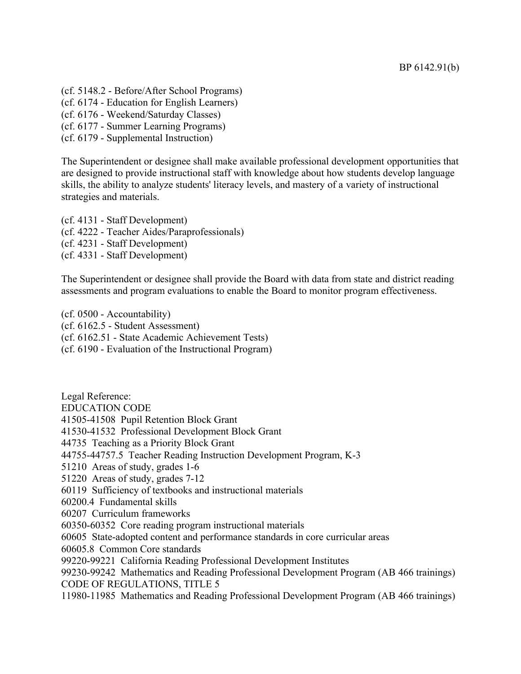(cf. 5148.2 - Before/After School Programs) (cf. 6174 - Education for English Learners) (cf. 6176 - Weekend/Saturday Classes)

(cf. 6177 - Summer Learning Programs)

(cf. 6179 - Supplemental Instruction)

The Superintendent or designee shall make available professional development opportunities that are designed to provide instructional staff with knowledge about how students develop language skills, the ability to analyze students' literacy levels, and mastery of a variety of instructional strategies and materials.

(cf. 4131 - Staff Development) (cf. 4222 - Teacher Aides/Paraprofessionals) (cf. 4231 - Staff Development) (cf. 4331 - Staff Development)

The Superintendent or designee shall provide the Board with data from state and district reading assessments and program evaluations to enable the Board to monitor program effectiveness.

(cf. 0500 - Accountability) (cf. 6162.5 - Student Assessment) (cf. 6162.51 - State Academic Achievement Tests) (cf. 6190 - Evaluation of the Instructional Program)

Legal Reference: EDUCATION CODE 41505-41508 Pupil Retention Block Grant 41530-41532 Professional Development Block Grant 44735 Teaching as a Priority Block Grant 44755-44757.5 Teacher Reading Instruction Development Program, K-3 51210 Areas of study, grades 1-6 51220 Areas of study, grades 7-12 60119 Sufficiency of textbooks and instructional materials 60200.4 Fundamental skills 60207 Curriculum frameworks 60350-60352 Core reading program instructional materials 60605 State-adopted content and performance standards in core curricular areas 60605.8 Common Core standards 99220-99221 California Reading Professional Development Institutes 99230-99242 Mathematics and Reading Professional Development Program (AB 466 trainings) CODE OF REGULATIONS, TITLE 5

11980-11985 Mathematics and Reading Professional Development Program (AB 466 trainings)